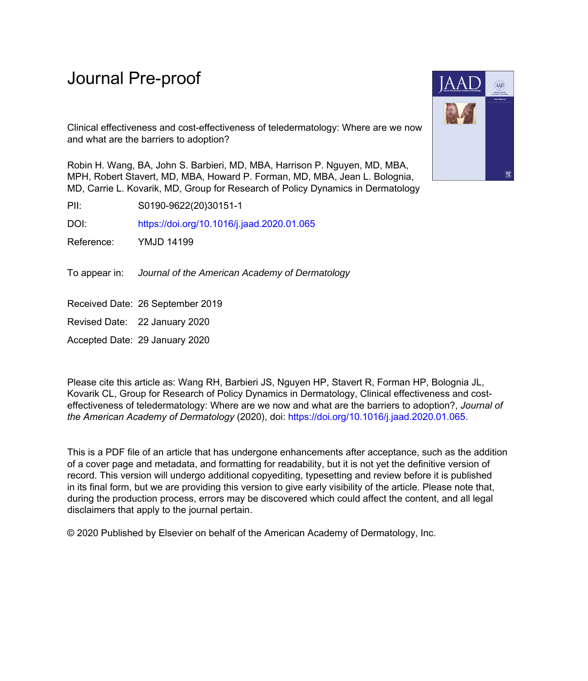# Journal Pre-proof

Clinical effectiveness and cost-effectiveness of teledermatology: Where are we now and what are the barriers to adoption?

Robin H. Wang, BA, John S. Barbieri, MD, MBA, Harrison P. Nguyen, MD, MBA, MPH, Robert Stavert, MD, MBA, Howard P. Forman, MD, MBA, Jean L. Bolognia, MD, Carrie L. Kovarik, MD, Group for Research of Policy Dynamics in Dermatology

PII: S0190-9622(20)30151-1

DOI: <https://doi.org/10.1016/j.jaad.2020.01.065>

Reference: YMJD 14199

To appear in: Journal of the American Academy of Dermatology

Received Date: 26 September 2019

Revised Date: 22 January 2020

Accepted Date: 29 January 2020

Please cite this article as: Wang RH, Barbieri JS, Nguyen HP, Stavert R, Forman HP, Bolognia JL, Kovarik CL, Group for Research of Policy Dynamics in Dermatology, Clinical effectiveness and costeffectiveness of teledermatology: Where are we now and what are the barriers to adoption?, *Journal of the American Academy of Dermatology* (2020), doi: <https://doi.org/10.1016/j.jaad.2020.01.065>.

This is a PDF file of an article that has undergone enhancements after acceptance, such as the addition of a cover page and metadata, and formatting for readability, but it is not yet the definitive version of record. This version will undergo additional copyediting, typesetting and review before it is published in its final form, but we are providing this version to give early visibility of the article. Please note that, during the production process, errors may be discovered which could affect the content, and all legal disclaimers that apply to the journal pertain.

© 2020 Published by Elsevier on behalf of the American Academy of Dermatology, Inc.

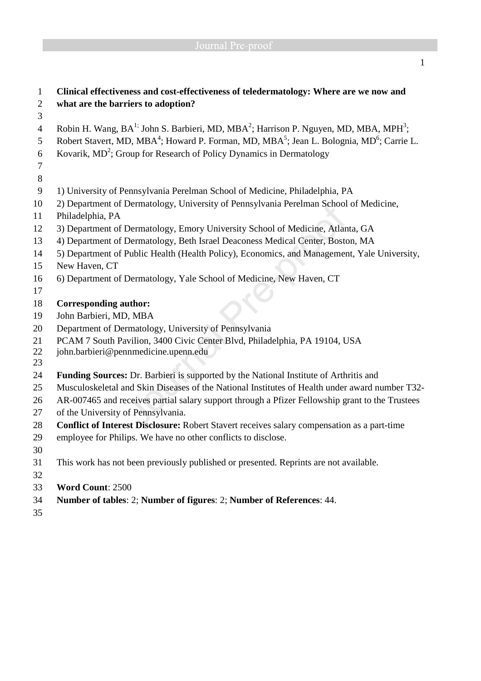| $\mathbf{1}$        | Clinical effectiveness and cost-effectiveness of teledermatology: Where are we now and                                                                                                                                                                    |  |  |  |  |  |
|---------------------|-----------------------------------------------------------------------------------------------------------------------------------------------------------------------------------------------------------------------------------------------------------|--|--|--|--|--|
| $\overline{2}$      | what are the barriers to adoption?                                                                                                                                                                                                                        |  |  |  |  |  |
| 3                   |                                                                                                                                                                                                                                                           |  |  |  |  |  |
| $\overline{4}$<br>5 | Robin H. Wang, BA <sup>1;</sup> John S. Barbieri, MD, MBA <sup>2</sup> ; Harrison P. Nguyen, MD, MBA, MPH <sup>3</sup> ;<br>Robert Stavert, MD, MBA <sup>4</sup> ; Howard P. Forman, MD, MBA <sup>5</sup> ; Jean L. Bolognia, MD <sup>6</sup> ; Carrie L. |  |  |  |  |  |
|                     | Kovarik, MD <sup>2</sup> ; Group for Research of Policy Dynamics in Dermatology                                                                                                                                                                           |  |  |  |  |  |
| 6<br>$\overline{7}$ |                                                                                                                                                                                                                                                           |  |  |  |  |  |
| 8                   |                                                                                                                                                                                                                                                           |  |  |  |  |  |
| 9                   |                                                                                                                                                                                                                                                           |  |  |  |  |  |
|                     | 1) University of Pennsylvania Perelman School of Medicine, Philadelphia, PA                                                                                                                                                                               |  |  |  |  |  |
| 10<br>11            | 2) Department of Dermatology, University of Pennsylvania Perelman School of Medicine,<br>Philadelphia, PA                                                                                                                                                 |  |  |  |  |  |
| 12                  | 3) Department of Dermatology, Emory University School of Medicine, Atlanta, GA                                                                                                                                                                            |  |  |  |  |  |
| 13                  | 4) Department of Dermatology, Beth Israel Deaconess Medical Center, Boston, MA                                                                                                                                                                            |  |  |  |  |  |
| 14                  | 5) Department of Public Health (Health Policy), Economics, and Management, Yale University,                                                                                                                                                               |  |  |  |  |  |
| 15                  | New Haven, CT                                                                                                                                                                                                                                             |  |  |  |  |  |
| 16                  | 6) Department of Dermatology, Yale School of Medicine, New Haven, CT                                                                                                                                                                                      |  |  |  |  |  |
| 17                  |                                                                                                                                                                                                                                                           |  |  |  |  |  |
| 18                  | <b>Corresponding author:</b>                                                                                                                                                                                                                              |  |  |  |  |  |
| 19                  | John Barbieri, MD, MBA                                                                                                                                                                                                                                    |  |  |  |  |  |
| 20                  | Department of Dermatology, University of Pennsylvania                                                                                                                                                                                                     |  |  |  |  |  |
| 21                  | PCAM 7 South Pavilion, 3400 Civic Center Blvd, Philadelphia, PA 19104, USA                                                                                                                                                                                |  |  |  |  |  |
| 22<br>23            | john.barbieri@pennmedicine.upenn.edu                                                                                                                                                                                                                      |  |  |  |  |  |
| 24                  | Funding Sources: Dr. Barbieri is supported by the National Institute of Arthritis and                                                                                                                                                                     |  |  |  |  |  |
| 25                  | Musculoskeletal and Skin Diseases of the National Institutes of Health under award number T32-                                                                                                                                                            |  |  |  |  |  |
| 26                  | AR-007465 and receives partial salary support through a Pfizer Fellowship grant to the Trustees                                                                                                                                                           |  |  |  |  |  |
| 27                  | of the University of Pennsylvania.                                                                                                                                                                                                                        |  |  |  |  |  |
| 28                  | Conflict of Interest Disclosure: Robert Stavert receives salary compensation as a part-time                                                                                                                                                               |  |  |  |  |  |
| 29                  | employee for Philips. We have no other conflicts to disclose.                                                                                                                                                                                             |  |  |  |  |  |
| 30                  |                                                                                                                                                                                                                                                           |  |  |  |  |  |
| 31                  | This work has not been previously published or presented. Reprints are not available.                                                                                                                                                                     |  |  |  |  |  |
| 32                  |                                                                                                                                                                                                                                                           |  |  |  |  |  |
| 33                  | Word Count: 2500                                                                                                                                                                                                                                          |  |  |  |  |  |
| 34                  | Number of tables: 2; Number of figures: 2; Number of References: 44.                                                                                                                                                                                      |  |  |  |  |  |
| 35                  |                                                                                                                                                                                                                                                           |  |  |  |  |  |
|                     |                                                                                                                                                                                                                                                           |  |  |  |  |  |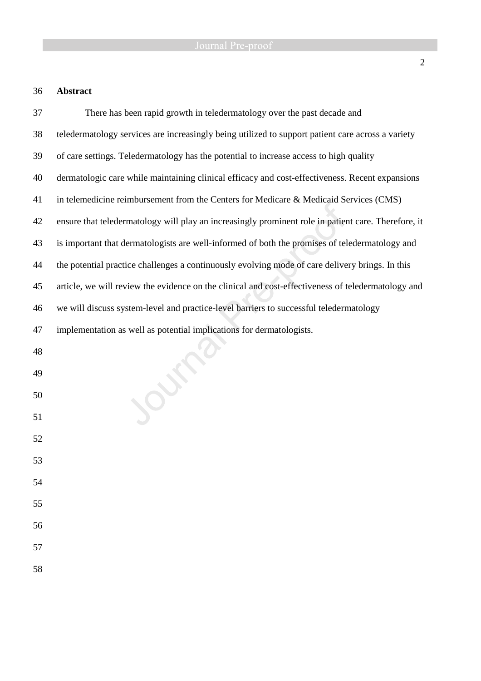## 36 **Abstract**

| 37 | There has been rapid growth in teledermatology over the past decade and                             |
|----|-----------------------------------------------------------------------------------------------------|
| 38 | teledermatology services are increasingly being utilized to support patient care across a variety   |
| 39 | of care settings. Teledermatology has the potential to increase access to high quality              |
| 40 | dermatologic care while maintaining clinical efficacy and cost-effectiveness. Recent expansions     |
| 41 | in telemedicine reimbursement from the Centers for Medicare & Medicaid Services (CMS)               |
| 42 | ensure that teledermatology will play an increasingly prominent role in patient care. Therefore, it |
| 43 | is important that dermatologists are well-informed of both the promises of teledermatology and      |
| 44 | the potential practice challenges a continuously evolving mode of care delivery brings. In this     |
| 45 | article, we will review the evidence on the clinical and cost-effectiveness of teledermatology and  |
| 46 | we will discuss system-level and practice-level barriers to successful teledermatology              |
| 47 | implementation as well as potential implications for dermatologists.                                |
| 48 |                                                                                                     |
| 49 |                                                                                                     |
| 50 |                                                                                                     |
| 51 |                                                                                                     |
| 52 |                                                                                                     |
| 53 |                                                                                                     |
| 54 |                                                                                                     |
| 55 |                                                                                                     |
| 56 |                                                                                                     |
| 57 |                                                                                                     |
| 58 |                                                                                                     |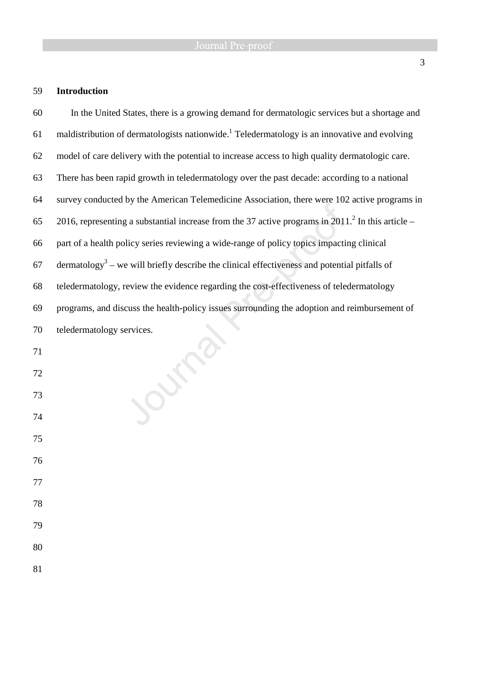## 59 **Introduction**

| 60 | In the United States, there is a growing demand for dermatologic services but a shortage and             |
|----|----------------------------------------------------------------------------------------------------------|
| 61 | maldistribution of dermatologists nationwide. <sup>1</sup> Teledermatology is an innovative and evolving |
| 62 | model of care delivery with the potential to increase access to high quality dermatologic care.          |
| 63 | There has been rapid growth in teledermatology over the past decade: according to a national             |
| 64 | survey conducted by the American Telemedicine Association, there were 102 active programs in             |
| 65 | 2016, representing a substantial increase from the 37 active programs in $20112$ . In this article –     |
| 66 | part of a health policy series reviewing a wide-range of policy topics impacting clinical                |
| 67 | dermatology <sup>3</sup> – we will briefly describe the clinical effectiveness and potential pitfalls of |
| 68 | teledermatology, review the evidence regarding the cost-effectiveness of teledermatology                 |
| 69 | programs, and discuss the health-policy issues surrounding the adoption and reimbursement of             |
| 70 | teledermatology services.                                                                                |
| 71 |                                                                                                          |
| 72 |                                                                                                          |
| 73 |                                                                                                          |
| 74 |                                                                                                          |
| 75 |                                                                                                          |
| 76 |                                                                                                          |
| 77 |                                                                                                          |
| 78 |                                                                                                          |
| 79 |                                                                                                          |
| 80 |                                                                                                          |
| 81 |                                                                                                          |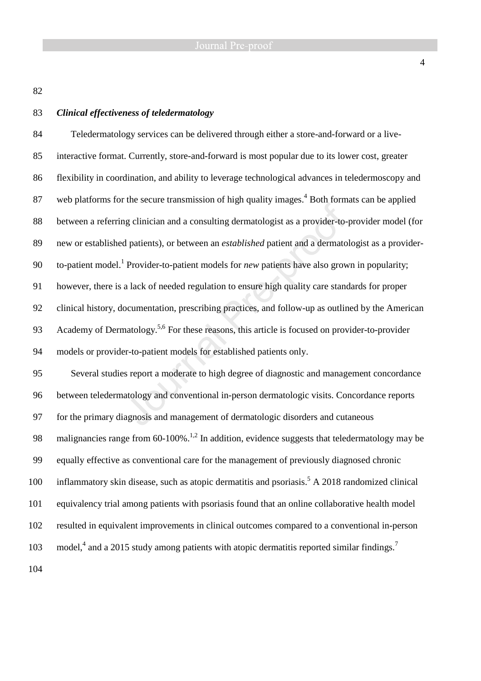82

### 83 *Clinical effectiveness of teledermatology*

84 Teledermatology services can be delivered through either a store-and-forward or a live-85 interactive format. Currently, store-and-forward is most popular due to its lower cost, greater 86 flexibility in coordination, and ability to leverage technological advances in teledermoscopy and 87 web platforms for the secure transmission of high quality images. $4$  Both formats can be applied 88 between a referring clinician and a consulting dermatologist as a provider-to-provider model (for 89 new or established patients), or between an *established* patient and a dermatologist as a provider-90 to-patient model.<sup>1</sup> Provider-to-patient models for *new* patients have also grown in popularity; 91 however, there is a lack of needed regulation to ensure high quality care standards for proper 92 clinical history, documentation, prescribing practices, and follow-up as outlined by the American 93 Academy of Dermatology.<sup>5,6</sup> For these reasons, this article is focused on provider-to-provider 94 models or provider-to-patient models for established patients only. 95 Several studies report a moderate to high degree of diagnostic and management concordance 96 between teledermatology and conventional in-person dermatologic visits. Concordance reports 97 for the primary diagnosis and management of dermatologic disorders and cutaneous 98 malignancies range from 60-100%.<sup>1,2</sup> In addition, evidence suggests that teledermatology may be 99 equally effective as conventional care for the management of previously diagnosed chronic 100 inflammatory skin disease, such as atopic dermatitis and psoriasis.<sup>5</sup> A 2018 randomized clinical 101 equivalency trial among patients with psoriasis found that an online collaborative health model 102 resulted in equivalent improvements in clinical outcomes compared to a conventional in-person model,<sup>4</sup> and a 2015 study among patients with atopic dermatitis reported similar findings.<sup>7</sup> 103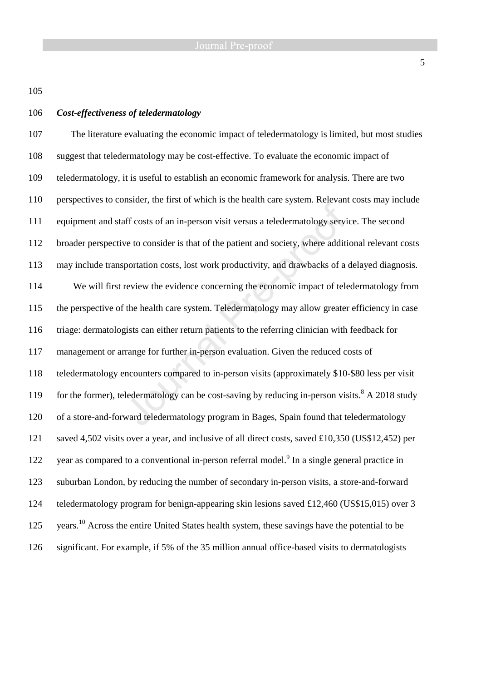105

### 106 *Cost-effectiveness of teledermatology*

107 The literature evaluating the economic impact of teledermatology is limited, but most studies 108 suggest that teledermatology may be cost-effective. To evaluate the economic impact of 109 teledermatology, it is useful to establish an economic framework for analysis. There are two 110 perspectives to consider, the first of which is the health care system. Relevant costs may include 111 equipment and staff costs of an in-person visit versus a teledermatology service. The second 112 broader perspective to consider is that of the patient and society, where additional relevant costs 113 may include transportation costs, lost work productivity, and drawbacks of a delayed diagnosis. 114 We will first review the evidence concerning the economic impact of teledermatology from 115 the perspective of the health care system. Teledermatology may allow greater efficiency in case 116 triage: dermatologists can either return patients to the referring clinician with feedback for 117 management or arrange for further in-person evaluation. Given the reduced costs of 118 teledermatology encounters compared to in-person visits (approximately \$10-\$80 less per visit 119 for the former), teledermatology can be cost-saving by reducing in-person visits.<sup>8</sup> A 2018 study 120 of a store-and-forward teledermatology program in Bages, Spain found that teledermatology 121 saved 4,502 visits over a year, and inclusive of all direct costs, saved £10,350 (US\$12,452) per 122 year as compared to a conventional in-person referral model.<sup>9</sup> In a single general practice in 123 suburban London, by reducing the number of secondary in-person visits, a store-and-forward 124 teledermatology program for benign-appearing skin lesions saved £12,460 (US\$15,015) over 3 125 years.<sup>10</sup> Across the entire United States health system, these savings have the potential to be 126 significant. For example, if 5% of the 35 million annual office-based visits to dermatologists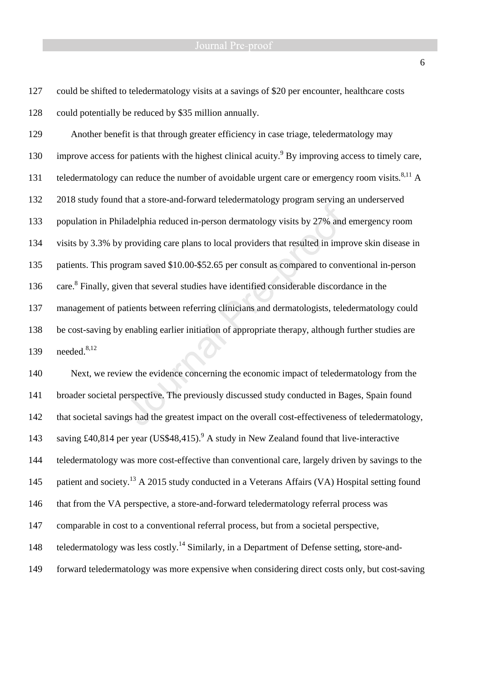### Journal Pre-proof

127 could be shifted to teledermatology visits at a savings of \$20 per encounter, healthcare costs 128 could potentially be reduced by \$35 million annually.

129 Another benefit is that through greater efficiency in case triage, teledermatology may 130 improve access for patients with the highest clinical acuity.<sup>9</sup> By improving access to timely care, 131 teledermatology can reduce the number of avoidable urgent care or emergency room visits.<sup>8,11</sup> A 132 2018 study found that a store-and-forward teledermatology program serving an underserved 133 population in Philadelphia reduced in-person dermatology visits by 27% and emergency room 134 visits by 3.3% by providing care plans to local providers that resulted in improve skin disease in 135 patients. This program saved \$10.00-\$52.65 per consult as compared to conventional in-person 136 care.<sup>8</sup> Finally, given that several studies have identified considerable discordance in the 137 management of patients between referring clinicians and dermatologists, teledermatology could 138 be cost-saving by enabling earlier initiation of appropriate therapy, although further studies are 139 needed.<sup>8,12</sup>

140 Next, we review the evidence concerning the economic impact of teledermatology from the 141 broader societal perspective. The previously discussed study conducted in Bages, Spain found 142 that societal savings had the greatest impact on the overall cost-effectiveness of teledermatology, 143 saving £40,814 per year (US\$48,415).<sup>9</sup> A study in New Zealand found that live-interactive 144 teledermatology was more cost-effective than conventional care, largely driven by savings to the 145 patient and society.<sup>13</sup> A 2015 study conducted in a Veterans Affairs (VA) Hospital setting found 146 that from the VA perspective, a store-and-forward teledermatology referral process was 147 comparable in cost to a conventional referral process, but from a societal perspective, 148 teledermatology was less costly.<sup>14</sup> Similarly, in a Department of Defense setting, store-and-149 forward teledermatology was more expensive when considering direct costs only, but cost-saving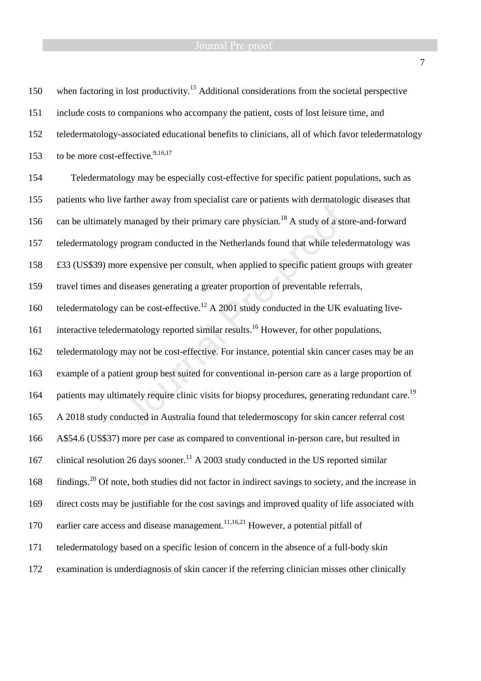# Journal Pre-proof

| 150 | when factoring in lost productivity. <sup>15</sup> Additional considerations from the societal perspective       |  |  |  |  |  |
|-----|------------------------------------------------------------------------------------------------------------------|--|--|--|--|--|
| 151 | include costs to companions who accompany the patient, costs of lost leisure time, and                           |  |  |  |  |  |
| 152 | teledermatology-associated educational benefits to clinicians, all of which favor teledermatology                |  |  |  |  |  |
| 153 | to be more cost-effective. <sup>9,16,17</sup>                                                                    |  |  |  |  |  |
| 154 | Teledermatology may be especially cost-effective for specific patient populations, such as                       |  |  |  |  |  |
| 155 | patients who live farther away from specialist care or patients with dermatologic diseases that                  |  |  |  |  |  |
| 156 | can be ultimately managed by their primary care physician. <sup>18</sup> A study of a store-and-forward          |  |  |  |  |  |
| 157 | teledermatology program conducted in the Netherlands found that while teledermatology was                        |  |  |  |  |  |
| 158 | £33 (US\$39) more expensive per consult, when applied to specific patient groups with greater                    |  |  |  |  |  |
| 159 | travel times and diseases generating a greater proportion of preventable referrals,                              |  |  |  |  |  |
| 160 | teledermatology can be cost-effective. <sup>12</sup> A 2001 study conducted in the UK evaluating live-           |  |  |  |  |  |
| 161 | interactive teledermatology reported similar results. <sup>16</sup> However, for other populations,              |  |  |  |  |  |
| 162 | teledermatology may not be cost-effective. For instance, potential skin cancer cases may be an                   |  |  |  |  |  |
| 163 | example of a patient group best suited for conventional in-person care as a large proportion of                  |  |  |  |  |  |
| 164 | patients may ultimately require clinic visits for biopsy procedures, generating redundant care. <sup>19</sup>    |  |  |  |  |  |
| 165 | A 2018 study conducted in Australia found that teledermoscopy for skin cancer referral cost                      |  |  |  |  |  |
| 166 | A\$54.6 (US\$37) more per case as compared to conventional in-person care, but resulted in                       |  |  |  |  |  |
| 167 | clinical resolution 26 days sooner. <sup>11</sup> A 2003 study conducted in the US reported similar              |  |  |  |  |  |
| 168 | findings. <sup>20</sup> Of note, both studies did not factor in indirect savings to society, and the increase in |  |  |  |  |  |
| 169 | direct costs may be justifiable for the cost savings and improved quality of life associated with                |  |  |  |  |  |
| 170 | earlier care access and disease management. <sup>11,16,21</sup> However, a potential pitfall of                  |  |  |  |  |  |
| 171 | teledermatology based on a specific lesion of concern in the absence of a full-body skin                         |  |  |  |  |  |
| 172 | examination is underdiagnosis of skin cancer if the referring clinician misses other clinically                  |  |  |  |  |  |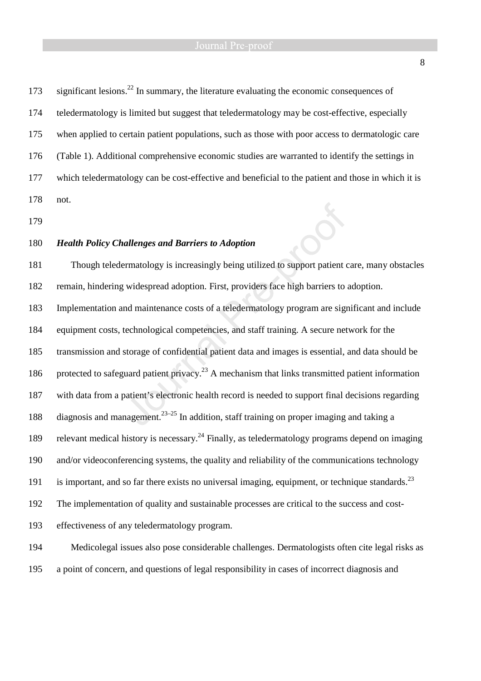173 significant lesions.<sup>22</sup> In summary, the literature evaluating the economic consequences of 174 teledermatology is limited but suggest that teledermatology may be cost-effective, especially 175 when applied to certain patient populations, such as those with poor access to dermatologic care 176 (Table 1). Additional comprehensive economic studies are warranted to identify the settings in 177 which teledermatology can be cost-effective and beneficial to the patient and those in which it is 178 not.

179

### 180 *Health Policy Challenges and Barriers to Adoption*

181 Though teledermatology is increasingly being utilized to support patient care, many obstacles 182 remain, hindering widespread adoption. First, providers face high barriers to adoption. 183 Implementation and maintenance costs of a teledermatology program are significant and include 184 equipment costs, technological competencies, and staff training. A secure network for the 185 transmission and storage of confidential patient data and images is essential, and data should be 186 protected to safeguard patient privacy.<sup>23</sup> A mechanism that links transmitted patient information 187 with data from a patient's electronic health record is needed to support final decisions regarding 188 diagnosis and management.<sup>23-25</sup> In addition, staff training on proper imaging and taking a 189 relevant medical history is necessary.<sup>24</sup> Finally, as teledermatology programs depend on imaging 190 and/or videoconferencing systems, the quality and reliability of the communications technology 191 is important, and so far there exists no universal imaging, equipment, or technique standards. <sup>23</sup> 192 The implementation of quality and sustainable processes are critical to the success and cost-193 effectiveness of any teledermatology program.

194 Medicolegal issues also pose considerable challenges. Dermatologists often cite legal risks as 195 a point of concern, and questions of legal responsibility in cases of incorrect diagnosis and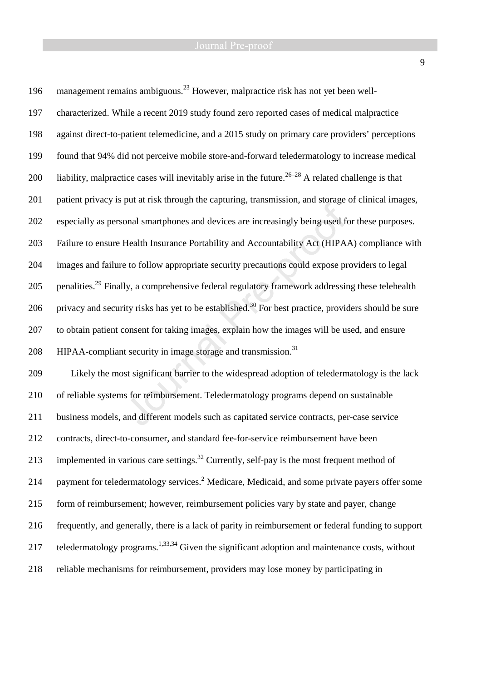196 management remains ambiguous.<sup>23</sup> However, malpractice risk has not yet been well-197 characterized. While a recent 2019 study found zero reported cases of medical malpractice 198 against direct-to-patient telemedicine, and a 2015 study on primary care providers' perceptions 199 found that 94% did not perceive mobile store-and-forward teledermatology to increase medical 200 liability, malpractice cases will inevitably arise in the future.<sup>26–28</sup> A related challenge is that 201 patient privacy is put at risk through the capturing, transmission, and storage of clinical images, 202 especially as personal smartphones and devices are increasingly being used for these purposes. 203 Failure to ensure Health Insurance Portability and Accountability Act (HIPAA) compliance with 204 images and failure to follow appropriate security precautions could expose providers to legal 205 penalities.<sup>29</sup> Finally, a comprehensive federal regulatory framework addressing these telehealth 206 privacy and security risks has yet to be established.<sup>30</sup> For best practice, providers should be sure 207 to obtain patient consent for taking images, explain how the images will be used, and ensure 208 HIPAA-compliant security in image storage and transmission.<sup>31</sup> 209 Likely the most significant barrier to the widespread adoption of teledermatology is the lack 210 of reliable systems for reimbursement. Teledermatology programs depend on sustainable 211 business models, and different models such as capitated service contracts, per-case service 212 contracts, direct-to-consumer, and standard fee-for-service reimbursement have been 213 implemented in various care settings.<sup>32</sup> Currently, self-pay is the most frequent method of 214 payment for teledermatology services.<sup>2</sup> Medicare, Medicaid, and some private payers offer some 215 form of reimbursement; however, reimbursement policies vary by state and payer, change 216 frequently, and generally, there is a lack of parity in reimbursement or federal funding to support 217 teledermatology programs.<sup>1,33,34</sup> Given the significant adoption and maintenance costs, without 218 reliable mechanisms for reimbursement, providers may lose money by participating in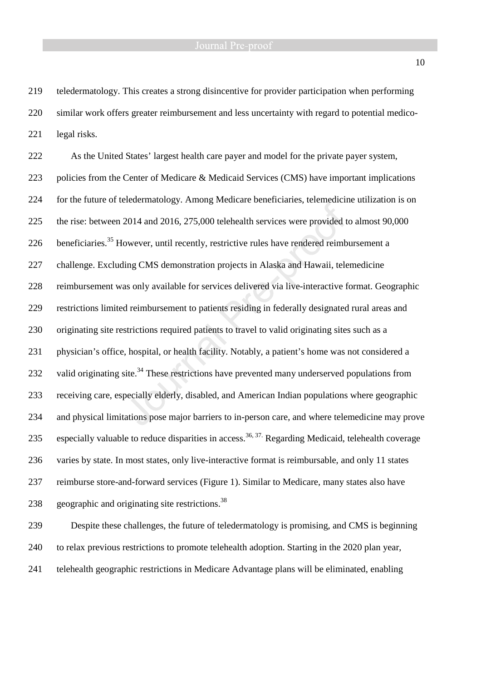219 teledermatology. This creates a strong disincentive for provider participation when performing 220 similar work offers greater reimbursement and less uncertainty with regard to potential medico-221 legal risks.

222 As the United States' largest health care payer and model for the private payer system, 223 policies from the Center of Medicare & Medicaid Services (CMS) have important implications 224 for the future of teledermatology. Among Medicare beneficiaries, telemedicine utilization is on 225 the rise: between 2014 and 2016, 275,000 telehealth services were provided to almost 90,000 226 beneficiaries.<sup>35</sup> However, until recently, restrictive rules have rendered reimbursement a 227 challenge. Excluding CMS demonstration projects in Alaska and Hawaii, telemedicine 228 reimbursement was only available for services delivered via live-interactive format. Geographic 229 restrictions limited reimbursement to patients residing in federally designated rural areas and 230 originating site restrictions required patients to travel to valid originating sites such as a 231 physician's office, hospital, or health facility. Notably, a patient's home was not considered a 232 valid originating site.<sup>34</sup> These restrictions have prevented many underserved populations from 233 receiving care, especially elderly, disabled, and American Indian populations where geographic 234 and physical limitations pose major barriers to in-person care, and where telemedicine may prove 235 especially valuable to reduce disparities in access.<sup>36, 37.</sup> Regarding Medicaid, telehealth coverage 236 varies by state. In most states, only live-interactive format is reimbursable, and only 11 states 237 reimburse store-and-forward services (Figure 1). Similar to Medicare, many states also have 238 geographic and originating site restrictions.<sup>38</sup>

239 Despite these challenges, the future of teledermatology is promising, and CMS is beginning 240 to relax previous restrictions to promote telehealth adoption. Starting in the 2020 plan year, 241 telehealth geographic restrictions in Medicare Advantage plans will be eliminated, enabling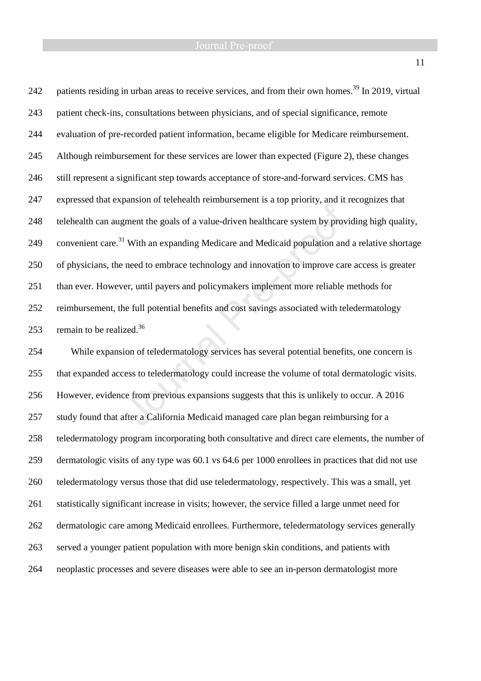242 patients residing in urban areas to receive services, and from their own homes.<sup>39</sup> In 2019, virtual 243 patient check-ins, consultations between physicians, and of special significance, remote 244 evaluation of pre-recorded patient information, became eligible for Medicare reimbursement. 245 Although reimbursement for these services are lower than expected (Figure 2), these changes 246 still represent a significant step towards acceptance of store-and-forward services. CMS has 247 expressed that expansion of telehealth reimbursement is a top priority, and it recognizes that 248 telehealth can augment the goals of a value-driven healthcare system by providing high quality, 249 convenient care.<sup>31</sup> With an expanding Medicare and Medicaid population and a relative shortage 250 of physicians, the need to embrace technology and innovation to improve care access is greater 251 than ever. However, until payers and policymakers implement more reliable methods for 252 reimbursement, the full potential benefits and cost savings associated with teledermatology 253 remain to be realized.<sup>36</sup>

254 While expansion of teledermatology services has several potential benefits, one concern is 255 that expanded access to teledermatology could increase the volume of total dermatologic visits. 256 However, evidence from previous expansions suggests that this is unlikely to occur. A 2016 257 study found that after a California Medicaid managed care plan began reimbursing for a 258 teledermatology program incorporating both consultative and direct care elements, the number of 259 dermatologic visits of any type was 60.1 vs 64.6 per 1000 enrollees in practices that did not use 260 teledermatology versus those that did use teledermatology, respectively. This was a small, yet 261 statistically significant increase in visits; however, the service filled a large unmet need for 262 dermatologic care among Medicaid enrollees. Furthermore, teledermatology services generally 263 served a younger patient population with more benign skin conditions, and patients with 264 neoplastic processes and severe diseases were able to see an in-person dermatologist more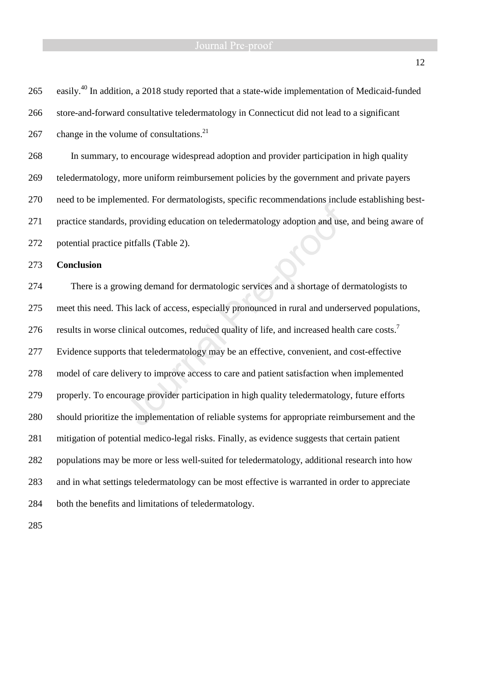265 easily.<sup>40</sup> In addition, a 2018 study reported that a state-wide implementation of Medicaid-funded 266 store-and-forward consultative teledermatology in Connecticut did not lead to a significant 267 change in the volume of consultations.<sup>21</sup> 268 In summary, to encourage widespread adoption and provider participation in high quality 269 teledermatology, more uniform reimbursement policies by the government and private payers 270 need to be implemented. For dermatologists, specific recommendations include establishing best-271 practice standards, providing education on teledermatology adoption and use, and being aware of 272 potential practice pitfalls (Table 2). 273 **Conclusion**  274 There is a growing demand for dermatologic services and a shortage of dermatologists to 275 meet this need. This lack of access, especially pronounced in rural and underserved populations, results in worse clinical outcomes, reduced quality of life, and increased health care costs.<sup>7</sup> 276 277 Evidence supports that teledermatology may be an effective, convenient, and cost-effective 278 model of care delivery to improve access to care and patient satisfaction when implemented 279 properly. To encourage provider participation in high quality teledermatology, future efforts 280 should prioritize the implementation of reliable systems for appropriate reimbursement and the 281 mitigation of potential medico-legal risks. Finally, as evidence suggests that certain patient 282 populations may be more or less well-suited for teledermatology, additional research into how 283 and in what settings teledermatology can be most effective is warranted in order to appreciate 284 both the benefits and limitations of teledermatology.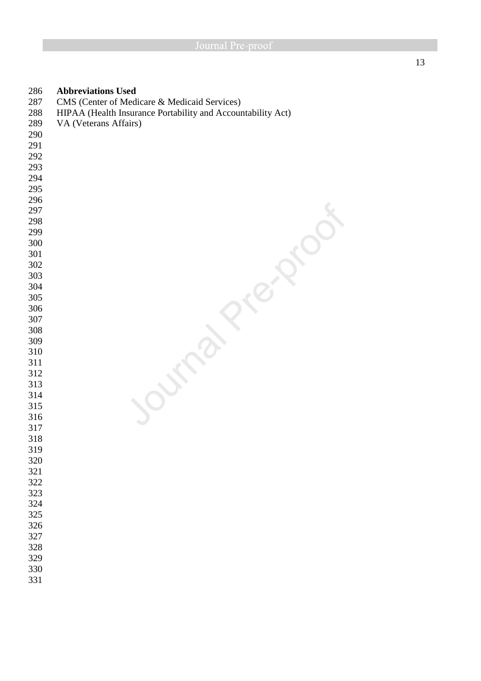| 286 | <b>Abbreviations Used</b>                                   |
|-----|-------------------------------------------------------------|
| 287 | CMS (Center of Medicare & Medicaid Services)                |
| 288 | HIPAA (Health Insurance Portability and Accountability Act) |
| 289 | VA (Veterans Affairs)                                       |
| 290 |                                                             |
| 291 |                                                             |
| 292 |                                                             |
| 293 |                                                             |
| 294 |                                                             |
| 295 |                                                             |
| 296 |                                                             |
| 297 |                                                             |
| 298 |                                                             |
| 299 |                                                             |
| 300 |                                                             |
| 301 |                                                             |
| 302 |                                                             |
| 303 |                                                             |
| 304 |                                                             |
| 305 |                                                             |
| 306 |                                                             |
| 307 |                                                             |
| 308 |                                                             |
| 309 |                                                             |
| 310 |                                                             |
| 311 |                                                             |
| 312 |                                                             |
| 313 |                                                             |
| 314 |                                                             |
| 315 |                                                             |
| 316 |                                                             |
| 317 |                                                             |
| 318 |                                                             |
| 319 |                                                             |
| 320 |                                                             |
| 321 |                                                             |
| 322 |                                                             |
| 323 |                                                             |
| 324 |                                                             |
|     |                                                             |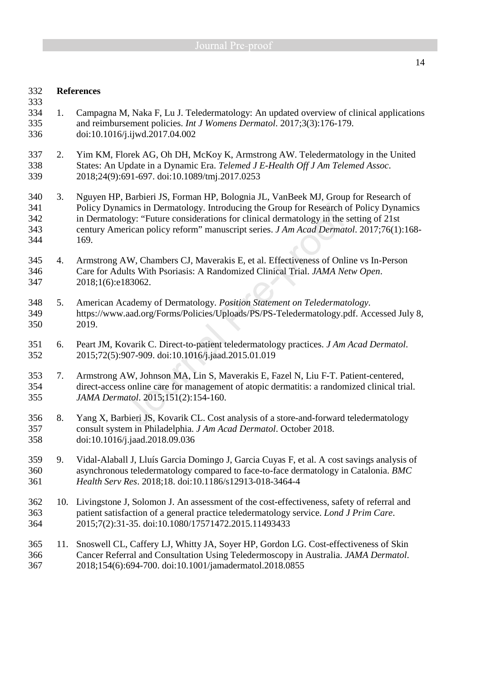### 332 **References**

- 334 1. Campagna M, Naka F, Lu J. Teledermatology: An updated overview of clinical applications 335 and reimbursement policies. *Int J Womens Dermatol*. 2017;3(3):176-179. 336 doi:10.1016/j.ijwd.2017.04.002
- 337 2. Yim KM, Florek AG, Oh DH, McKoy K, Armstrong AW. Teledermatology in the United 338 States: An Update in a Dynamic Era. *Telemed J E-Health Off J Am Telemed Assoc*. 339 2018;24(9):691-697. doi:10.1089/tmj.2017.0253
- 340 3. Nguyen HP, Barbieri JS, Forman HP, Bolognia JL, VanBeek MJ, Group for Research of 341 Policy Dynamics in Dermatology. Introducing the Group for Research of Policy Dynamics 342 in Dermatology: "Future considerations for clinical dermatology in the setting of 21st 343 century American policy reform" manuscript series. *J Am Acad Dermatol*. 2017;76(1):168- 344 169.
- 345 4. Armstrong AW, Chambers CJ, Maverakis E, et al. Effectiveness of Online vs In-Person 346 Care for Adults With Psoriasis: A Randomized Clinical Trial. *JAMA Netw Open*. 347 2018;1(6):e183062.
- 348 5. American Academy of Dermatology. *Position Statement on Teledermatology*. 349 https://www.aad.org/Forms/Policies/Uploads/PS/PS-Teledermatology.pdf. Accessed July 8, 350 2019.
- 351 6. Peart JM, Kovarik C. Direct-to-patient teledermatology practices. *J Am Acad Dermatol*. 352 2015;72(5):907-909. doi:10.1016/j.jaad.2015.01.019
- 353 7. Armstrong AW, Johnson MA, Lin S, Maverakis E, Fazel N, Liu F-T. Patient-centered, 354 direct-access online care for management of atopic dermatitis: a randomized clinical trial. 355 *JAMA Dermatol*. 2015;151(2):154-160.
- 356 8. Yang X, Barbieri JS, Kovarik CL. Cost analysis of a store-and-forward teledermatology 357 consult system in Philadelphia. *J Am Acad Dermatol*. October 2018. 358 doi:10.1016/j.jaad.2018.09.036
- 359 9. Vidal-Alaball J, Lluís Garcia Domingo J, Garcia Cuyas F, et al. A cost savings analysis of 360 asynchronous teledermatology compared to face-to-face dermatology in Catalonia. *BMC*  361 *Health Serv Res*. 2018;18. doi:10.1186/s12913-018-3464-4
- 362 10. Livingstone J, Solomon J. An assessment of the cost-effectiveness, safety of referral and 363 patient satisfaction of a general practice teledermatology service. *Lond J Prim Care*. 364 2015;7(2):31-35. doi:10.1080/17571472.2015.11493433
- 365 11. Snoswell CL, Caffery LJ, Whitty JA, Soyer HP, Gordon LG. Cost-effectiveness of Skin 366 Cancer Referral and Consultation Using Teledermoscopy in Australia. *JAMA Dermatol*. 367 2018;154(6):694-700. doi:10.1001/jamadermatol.2018.0855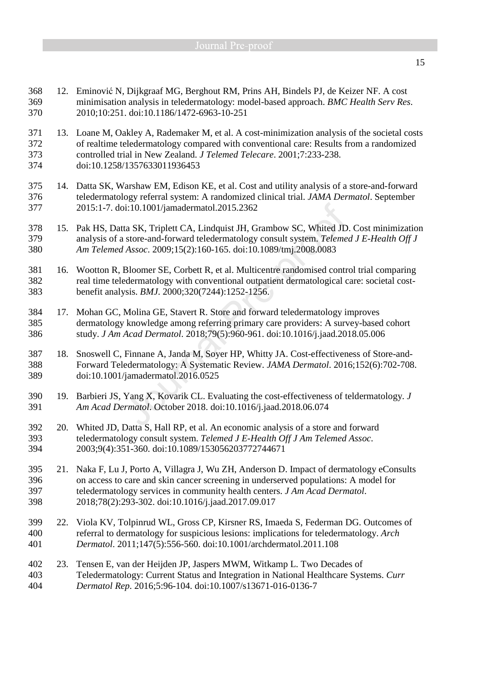- 368 12. Eminović N, Dijkgraaf MG, Berghout RM, Prins AH, Bindels PJ, de Keizer NF. A cost 369 minimisation analysis in teledermatology: model-based approach. *BMC Health Serv Res*. 370 2010;10:251. doi:10.1186/1472-6963-10-251
- 371 13. Loane M, Oakley A, Rademaker M, et al. A cost-minimization analysis of the societal costs 372 of realtime teledermatology compared with conventional care: Results from a randomized 373 controlled trial in New Zealand. *J Telemed Telecare*. 2001;7:233-238. 374 doi:10.1258/1357633011936453
- 375 14. Datta SK, Warshaw EM, Edison KE, et al. Cost and utility analysis of a store-and-forward 376 teledermatology referral system: A randomized clinical trial. *JAMA Dermatol*. September 377 2015:1-7. doi:10.1001/jamadermatol.2015.2362
- 378 15. Pak HS, Datta SK, Triplett CA, Lindquist JH, Grambow SC, Whited JD. Cost minimization 379 analysis of a store-and-forward teledermatology consult system. *Telemed J E-Health Off J*  380 *Am Telemed Assoc*. 2009;15(2):160-165. doi:10.1089/tmj.2008.0083
- 381 16. Wootton R, Bloomer SE, Corbett R, et al. Multicentre randomised control trial comparing 382 real time teledermatology with conventional outpatient dermatological care: societal cost-383 benefit analysis. *BMJ*. 2000;320(7244):1252-1256.
- 384 17. Mohan GC, Molina GE, Stavert R. Store and forward teledermatology improves 385 dermatology knowledge among referring primary care providers: A survey-based cohort 386 study. *J Am Acad Dermatol*. 2018;79(5):960-961. doi:10.1016/j.jaad.2018.05.006
- 387 18. Snoswell C, Finnane A, Janda M, Soyer HP, Whitty JA. Cost-effectiveness of Store-and-388 Forward Teledermatology: A Systematic Review. *JAMA Dermatol*. 2016;152(6):702-708. 389 doi:10.1001/jamadermatol.2016.0525
- 390 19. Barbieri JS, Yang X, Kovarik CL. Evaluating the cost-effectiveness of teldermatology. *J*  391 *Am Acad Dermatol*. October 2018. doi:10.1016/j.jaad.2018.06.074
- 392 20. Whited JD, Datta S, Hall RP, et al. An economic analysis of a store and forward 393 teledermatology consult system. *Telemed J E-Health Off J Am Telemed Assoc*. 394 2003;9(4):351-360. doi:10.1089/153056203772744671
- 395 21. Naka F, Lu J, Porto A, Villagra J, Wu ZH, Anderson D. Impact of dermatology eConsults 396 on access to care and skin cancer screening in underserved populations: A model for 397 teledermatology services in community health centers. *J Am Acad Dermatol*. 398 2018;78(2):293-302. doi:10.1016/j.jaad.2017.09.017
- 399 22. Viola KV, Tolpinrud WL, Gross CP, Kirsner RS, Imaeda S, Federman DG. Outcomes of 400 referral to dermatology for suspicious lesions: implications for teledermatology. *Arch*  401 *Dermatol*. 2011;147(5):556-560. doi:10.1001/archdermatol.2011.108
- 402 23. Tensen E, van der Heijden JP, Jaspers MWM, Witkamp L. Two Decades of 403 Teledermatology: Current Status and Integration in National Healthcare Systems. *Curr*  404 *Dermatol Rep*. 2016;5:96-104. doi:10.1007/s13671-016-0136-7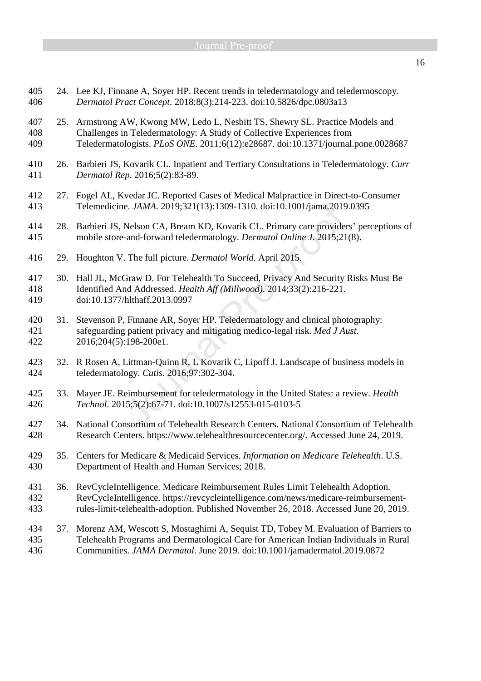- 405 24. Lee KJ, Finnane A, Soyer HP. Recent trends in teledermatology and teledermoscopy. 406 *Dermatol Pract Concept*. 2018;8(3):214-223. doi:10.5826/dpc.0803a13
- 407 25. Armstrong AW, Kwong MW, Ledo L, Nesbitt TS, Shewry SL. Practice Models and 408 Challenges in Teledermatology: A Study of Collective Experiences from 409 Teledermatologists. *PLoS ONE*. 2011;6(12):e28687. doi:10.1371/journal.pone.0028687
- 410 26. Barbieri JS, Kovarik CL. Inpatient and Tertiary Consultations in Teledermatology. *Curr*  411 *Dermatol Rep*. 2016;5(2):83-89.
- 412 27. Fogel AL, Kvedar JC. Reported Cases of Medical Malpractice in Direct-to-Consumer 413 Telemedicine. *JAMA*. 2019;321(13):1309-1310. doi:10.1001/jama.2019.0395
- 414 28. Barbieri JS, Nelson CA, Bream KD, Kovarik CL. Primary care providers' perceptions of 415 mobile store-and-forward teledermatology. *Dermatol Online J*. 2015;21(8).
- 416 29. Houghton V. The full picture. *Dermatol World*. April 2015.
- 417 30. Hall JL, McGraw D. For Telehealth To Succeed, Privacy And Security Risks Must Be 418 Identified And Addressed. *Health Aff (Millwood)*. 2014;33(2):216-221. 419 doi:10.1377/hlthaff.2013.0997
- 420 31. Stevenson P, Finnane AR, Soyer HP. Teledermatology and clinical photography: 421 safeguarding patient privacy and mitigating medico-legal risk. *Med J Aust*. 422 2016;204(5):198-200e1.
- 423 32. R Rosen A, Littman-Quinn R, L Kovarik C, Lipoff J. Landscape of business models in 424 teledermatology. *Cutis*. 2016;97:302-304.
- 425 33. Mayer JE. Reimbursement for teledermatology in the United States: a review. *Health*  426 *Technol*. 2015;5(2):67-71. doi:10.1007/s12553-015-0103-5
- 427 34. National Consortium of Telehealth Research Centers. National Consortium of Telehealth 428 Research Centers. https://www.telehealthresourcecenter.org/. Accessed June 24, 2019.
- 429 35. Centers for Medicare & Medicaid Services. *Information on Medicare Telehealth*. U.S. 430 Department of Health and Human Services; 2018.
- 431 36. RevCycleIntelligence. Medicare Reimbursement Rules Limit Telehealth Adoption. 432 RevCycleIntelligence. https://revcycleintelligence.com/news/medicare-reimbursement-433 rules-limit-telehealth-adoption. Published November 26, 2018. Accessed June 20, 2019.
- 434 37. Morenz AM, Wescott S, Mostaghimi A, Sequist TD, Tobey M. Evaluation of Barriers to 435 Telehealth Programs and Dermatological Care for American Indian Individuals in Rural 436 Communities. *JAMA Dermatol*. June 2019. doi:10.1001/jamadermatol.2019.0872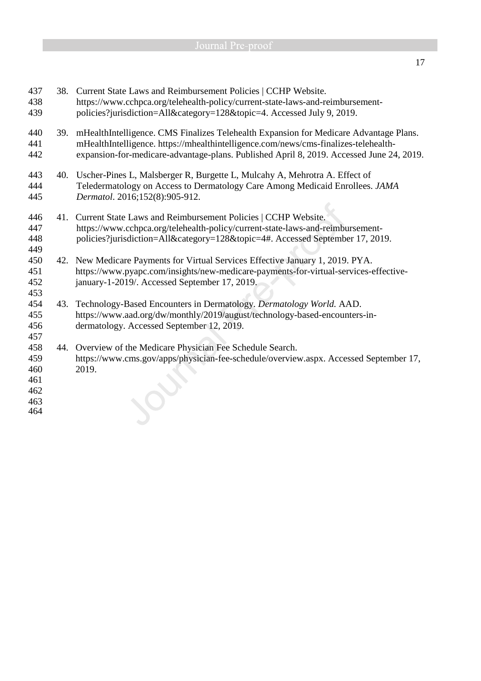|     | 38. Current State Laws and Reimbursement Policies   CCHP Website.<br>https://www.cchpca.org/telehealth-policy/current-state-laws-and-reimbursement-<br>policies?jurisdiction=All&category=128&topic=4. Accessed July 9, 2019.                                            |  |  |  |  |
|-----|--------------------------------------------------------------------------------------------------------------------------------------------------------------------------------------------------------------------------------------------------------------------------|--|--|--|--|
| 39. | mHealthIntelligence. CMS Finalizes Telehealth Expansion for Medicare Advantage Plans.<br>mHealthIntelligence. https://mhealthintelligence.com/news/cms-finalizes-telehealth-<br>expansion-for-medicare-advantage-plans. Published April 8, 2019. Accessed June 24, 2019. |  |  |  |  |
|     | 40. Uscher-Pines L, Malsberger R, Burgette L, Mulcahy A, Mehrotra A. Effect of<br>Teledermatology on Access to Dermatology Care Among Medicaid Enrollees. JAMA<br>Dermatol. 2016;152(8):905-912.                                                                         |  |  |  |  |
| 41. | Current State Laws and Reimbursement Policies   CCHP Website.<br>https://www.cchpca.org/telehealth-policy/current-state-laws-and-reimbursement-<br>policies?jurisdiction=All&category=128&topic=4#. Accessed September 17, 2019.                                         |  |  |  |  |
| 42. | New Medicare Payments for Virtual Services Effective January 1, 2019. PYA.<br>https://www.pyapc.com/insights/new-medicare-payments-for-virtual-services-effective-<br>january-1-2019/. Accessed September 17, 2019.                                                      |  |  |  |  |
| 43. | Technology-Based Encounters in Dermatology. Dermatology World. AAD.<br>https://www.aad.org/dw/monthly/2019/august/technology-based-encounters-in-<br>dermatology. Accessed September 12, 2019.                                                                           |  |  |  |  |
|     | 44. Overview of the Medicare Physician Fee Schedule Search.<br>https://www.cms.gov/apps/physician-fee-schedule/overview.aspx. Accessed September 17,<br>2019.                                                                                                            |  |  |  |  |
|     |                                                                                                                                                                                                                                                                          |  |  |  |  |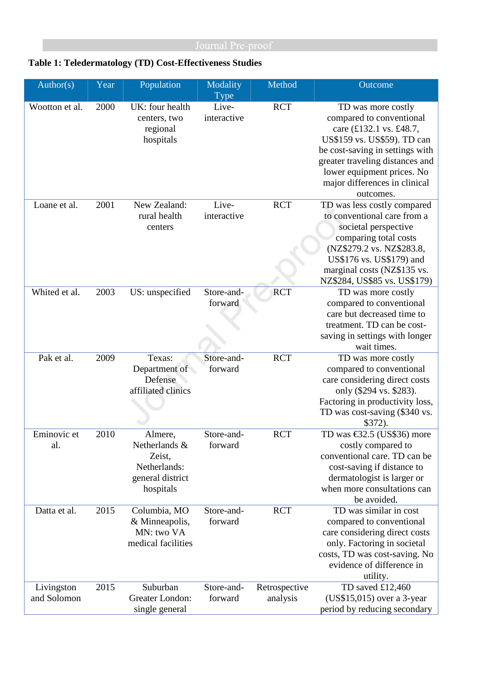## **Table 1: Teledermatology (TD) Cost-Effectiveness Studies**

| Author(s)                 | Year | Population                                                                          | Modality<br><b>Type</b> | Method                    | Outcome                                                                                                                                                                                                                                                    |
|---------------------------|------|-------------------------------------------------------------------------------------|-------------------------|---------------------------|------------------------------------------------------------------------------------------------------------------------------------------------------------------------------------------------------------------------------------------------------------|
| Wootton et al.            | 2000 | UK: four health<br>centers, two<br>regional<br>hospitals                            | Live-<br>interactive    | <b>RCT</b>                | TD was more costly<br>compared to conventional<br>care (£132.1 vs. £48.7,<br>US\$159 vs. US\$59). TD can<br>be cost-saving in settings with<br>greater traveling distances and<br>lower equipment prices. No<br>major differences in clinical<br>outcomes. |
| Loane et al.              | 2001 | New Zealand:<br>rural health<br>centers                                             | Live-<br>interactive    | <b>RCT</b>                | TD was less costly compared<br>to conventional care from a<br>societal perspective<br>comparing total costs<br>(NZ\$279.2 vs. NZ\$283.8,<br>US\$176 vs. US\$179) and<br>marginal costs (NZ\$135 vs.<br>NZ\$284, US\$85 vs. US\$179)                        |
| Whited et al.             | 2003 | US: unspecified                                                                     | Store-and-<br>forward   | <b>RCT</b>                | TD was more costly<br>compared to conventional<br>care but decreased time to<br>treatment. TD can be cost-<br>saving in settings with longer<br>wait times.                                                                                                |
| Pak et al.                | 2009 | Texas:<br>Department of<br>Defense<br>affiliated clinics                            | Store-and-<br>forward   | <b>RCT</b>                | TD was more costly<br>compared to conventional<br>care considering direct costs<br>only (\$294 vs. \$283).<br>Factoring in productivity loss,<br>TD was cost-saving (\$340 vs.<br>\$372).                                                                  |
| Eminovic et<br>al.        | 2010 | Almere,<br>Netherlands &<br>Zeist,<br>Netherlands:<br>general district<br>hospitals | Store-and-<br>forward   | <b>RCT</b>                | TD was $\text{\textsterling}32.5$ (US\$36) more<br>costly compared to<br>conventional care. TD can be<br>cost-saving if distance to<br>dermatologist is larger or<br>when more consultations can<br>be avoided.                                            |
| Datta et al.              | 2015 | Columbia, MO<br>& Minneapolis,<br>MN: two VA<br>medical facilities                  | Store-and-<br>forward   | <b>RCT</b>                | TD was similar in cost<br>compared to conventional<br>care considering direct costs<br>only. Factoring in societal<br>costs, TD was cost-saving. No<br>evidence of difference in<br>utility.                                                               |
| Livingston<br>and Solomon | 2015 | Suburban<br>Greater London:<br>single general                                       | Store-and-<br>forward   | Retrospective<br>analysis | TD saved £12,460<br>$(US$15,015)$ over a 3-year<br>period by reducing secondary                                                                                                                                                                            |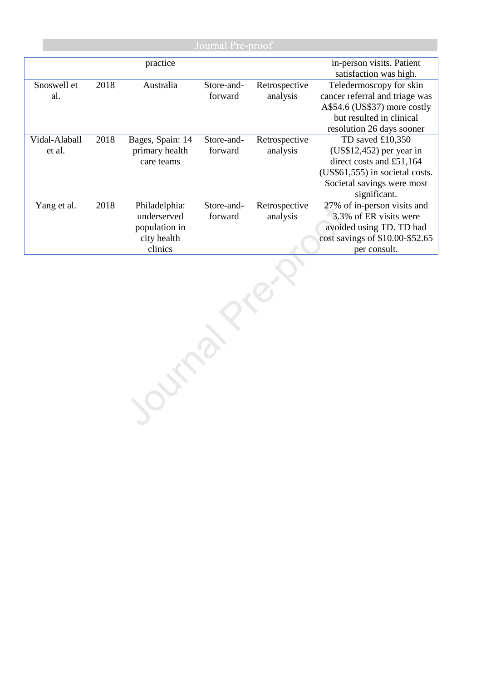| Journal Pre-proof       |      |                                                                         |                       |                           |                                                                                                                                                              |
|-------------------------|------|-------------------------------------------------------------------------|-----------------------|---------------------------|--------------------------------------------------------------------------------------------------------------------------------------------------------------|
|                         |      | practice                                                                |                       |                           | in-person visits. Patient<br>satisfaction was high.                                                                                                          |
| Snoswell et<br>al.      | 2018 | Australia                                                               | Store-and-<br>forward | Retrospective<br>analysis | Teledermoscopy for skin<br>cancer referral and triage was<br>A\$54.6 (US\$37) more costly<br>but resulted in clinical<br>resolution 26 days sooner           |
| Vidal-Alaball<br>et al. | 2018 | Bages, Spain: 14<br>primary health<br>care teams                        | Store-and-<br>forward | Retrospective<br>analysis | TD saved $£10,350$<br>$(US$12,452)$ per year in<br>direct costs and £51,164<br>(US\$61,555) in societal costs.<br>Societal savings were most<br>significant. |
| Yang et al.             | 2018 | Philadelphia:<br>underserved<br>population in<br>city health<br>clinics | Store-and-<br>forward | Retrospective<br>analysis | 27% of in-person visits and<br>3.3% of ER visits were<br>avoided using TD. TD had<br>cost savings of \$10.00-\$52.65<br>per consult.                         |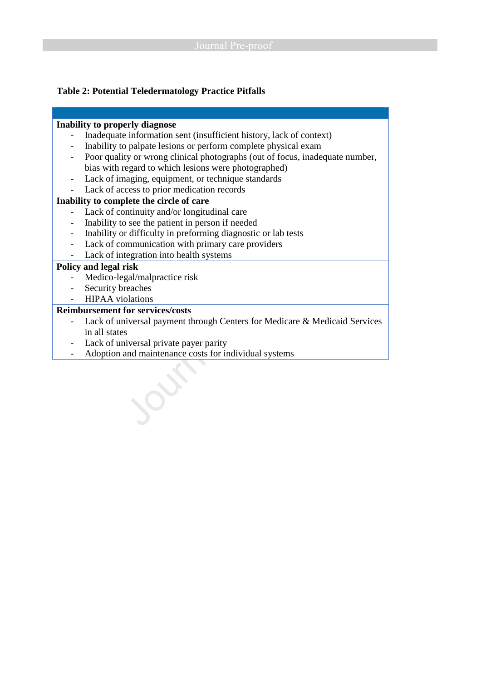### **Table 2: Potential Teledermatology Practice Pitfalls**

## **Inability to properly diagnose**

- Inadequate information sent (insufficient history, lack of context)
- Inability to palpate lesions or perform complete physical exam
- Poor quality or wrong clinical photographs (out of focus, inadequate number, bias with regard to which lesions were photographed)
- Lack of imaging, equipment, or technique standards
- Lack of access to prior medication records

### **Inability to complete the circle of care**

- Lack of continuity and/or longitudinal care
- Inability to see the patient in person if needed
- Inability or difficulty in preforming diagnostic or lab tests
- Lack of communication with primary care providers
- Lack of integration into health systems

### **Policy and legal risk**

- Medico-legal/malpractice risk
- Security breaches
- HIPAA violations

## **Reimbursement for services/costs**

- Lack of universal payment through Centers for Medicare & Medicaid Services in all states
- Lack of universal private payer parity
- Adoption and maintenance costs for individual systems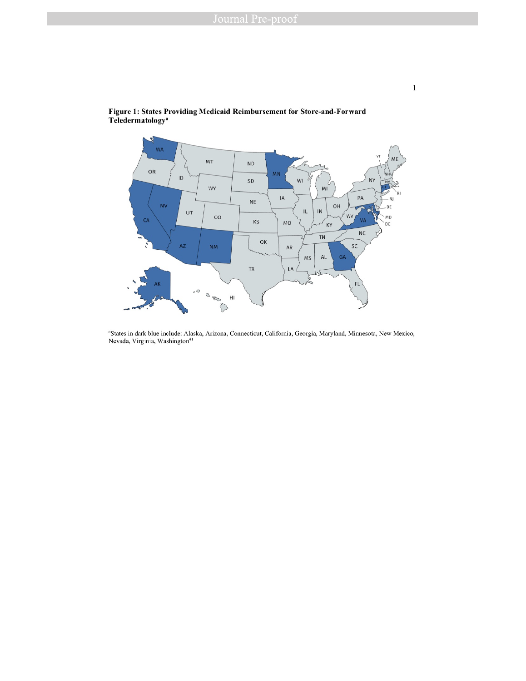

Figure 1: States Providing Medicaid Reimbursement for Store-and-Forward Teledermatology<sup>a</sup>

<sup>a</sup>States in dark blue include: Alaska, Arizona, Connecticut, California, Georgia, Maryland, Minnesota, New Mexico, Nevada, Virginia, Washington<sup>41</sup>

 $\mathbf{1}$